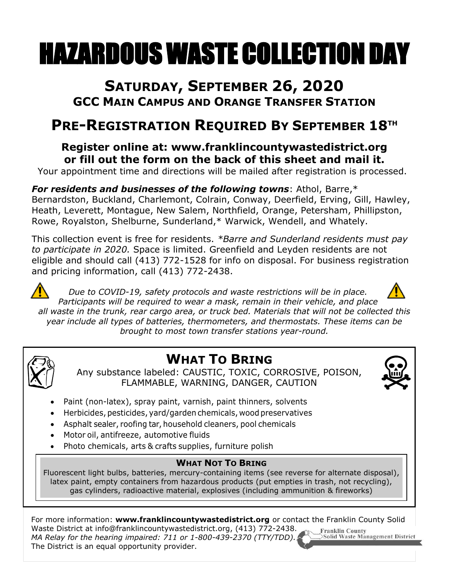# HAZARDOUS WASTE COLLECTION DAY

## **SATURDAY, SEPTEMBER 26, 2020 GCC MAIN CAMPUS AND ORANGE TRANSFER STATION**

# **PRE-REGISTRATION REQUIRED BY SEPTEMBER 18 TH**

### **Register online at: www.franklincountywastedistrict.org or fill out the form on the back of this sheet and mail it.**

Your appointment time and directions will be mailed after registration is processed.

*For residents and businesses of the following towns*: Athol, Barre,\* Bernardston, Buckland, Charlemont, Colrain, Conway, Deerfield, Erving, Gill, Hawley, Heath, Leverett, Montague, New Salem, Northfield, Orange, Petersham, Phillipston, Rowe, Royalston, Shelburne, Sunderland,\* Warwick, Wendell, and Whately.

This collection event is free for residents. *\*Barre and Sunderland residents must pay to participate in 2020.* Space is limited. Greenfield and Leyden residents are not eligible and should call (413) 772-1528 for info on disposal. For business registration and pricing information, call (413) 772-2438.



*Due to COVID-19, safety protocols and waste restrictions will be in place. Participants will be required to wear a mask, remain in their vehicle, and place all waste in the trunk, rear cargo area, or truck bed. Materials that will not be collected this year include all types of batteries, thermometers, and thermostats. These items can be brought to most town transfer stations year-round.*



# **WHAT TO BRING**

Any substance labeled: CAUSTIC, TOXIC, CORROSIVE, POISON, FLAMMABLE, WARNING, DANGER, CAUTION



- Paint (non-latex), spray paint, varnish, paint thinners, solvents
- Herbicides, pesticides, yard/garden chemicals, wood preservatives
- Asphalt sealer, roofing tar, household cleaners, pool chemicals
- Motor oil, antifreeze, automotive fluids
- Photo chemicals, arts & crafts supplies, furniture polish

#### **WHAT NOT TO BRING**

Fluorescent light bulbs, batteries, mercury-containing items (see reverse for alternate disposal), latex paint, empty containers from hazardous products (put empties in trash, not recycling), gas cylinders, radioactive material, explosives (including ammunition & fireworks)

For more information: **www.franklincountywastedistrict.org** or contact the Franklin County Solid Waste District at [info@franklincountywastedistrict.org,](mailto:info@franklincountywastedistrict.org) (413) 772-2438. **Franklin County** *MA Relay for the hearing impaired: 711 or 1-800-439-2370 (TTY/TDD).* Solid Waste Management District The District is an equal opportunity provider.